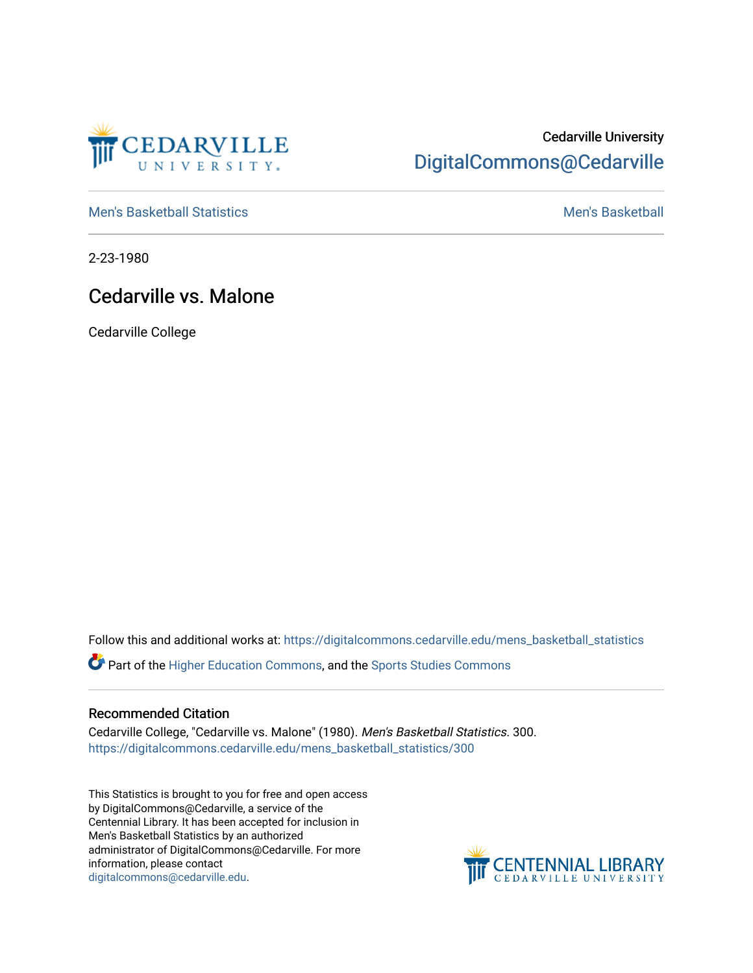

## Cedarville University [DigitalCommons@Cedarville](https://digitalcommons.cedarville.edu/)

[Men's Basketball Statistics](https://digitalcommons.cedarville.edu/mens_basketball_statistics) [Men's Basketball](https://digitalcommons.cedarville.edu/mens_basketball) 

2-23-1980

## Cedarville vs. Malone

Cedarville College

Follow this and additional works at: [https://digitalcommons.cedarville.edu/mens\\_basketball\\_statistics](https://digitalcommons.cedarville.edu/mens_basketball_statistics?utm_source=digitalcommons.cedarville.edu%2Fmens_basketball_statistics%2F300&utm_medium=PDF&utm_campaign=PDFCoverPages) 

Part of the [Higher Education Commons,](http://network.bepress.com/hgg/discipline/1245?utm_source=digitalcommons.cedarville.edu%2Fmens_basketball_statistics%2F300&utm_medium=PDF&utm_campaign=PDFCoverPages) and the [Sports Studies Commons](http://network.bepress.com/hgg/discipline/1198?utm_source=digitalcommons.cedarville.edu%2Fmens_basketball_statistics%2F300&utm_medium=PDF&utm_campaign=PDFCoverPages) 

## Recommended Citation

Cedarville College, "Cedarville vs. Malone" (1980). Men's Basketball Statistics. 300. [https://digitalcommons.cedarville.edu/mens\\_basketball\\_statistics/300](https://digitalcommons.cedarville.edu/mens_basketball_statistics/300?utm_source=digitalcommons.cedarville.edu%2Fmens_basketball_statistics%2F300&utm_medium=PDF&utm_campaign=PDFCoverPages) 

This Statistics is brought to you for free and open access by DigitalCommons@Cedarville, a service of the Centennial Library. It has been accepted for inclusion in Men's Basketball Statistics by an authorized administrator of DigitalCommons@Cedarville. For more information, please contact [digitalcommons@cedarville.edu](mailto:digitalcommons@cedarville.edu).